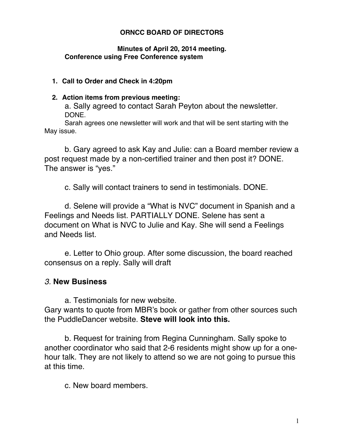## **ORNCC BOARD OF DIRECTORS**

### **Minutes of April 20, 2014 meeting. Conference using Free Conference system**

#### **1. Call to Order and Check in 4:20pm**

#### **2. Action items from previous meeting:**

a. Sally agreed to contact Sarah Peyton about the newsletter. DONE.

Sarah agrees one newsletter will work and that will be sent starting with the May issue.

b. Gary agreed to ask Kay and Julie: can a Board member review a post request made by a non-certified trainer and then post it? DONE. The answer is "yes."

c. Sally will contact trainers to send in testimonials. DONE.

d. Selene will provide a "What is NVC" document in Spanish and a Feelings and Needs list. PARTIALLY DONE. Selene has sent a document on What is NVC to Julie and Kay. She will send a Feelings and Needs list.

e. Letter to Ohio group. After some discussion, the board reached consensus on a reply. Sally will draft

# *3.* **New Business**

a. Testimonials for new website.

Gary wants to quote from MBR's book or gather from other sources such the PuddleDancer website. **Steve will look into this.**

b. Request for training from Regina Cunningham. Sally spoke to another coordinator who said that 2-6 residents might show up for a onehour talk. They are not likely to attend so we are not going to pursue this at this time.

c. New board members.